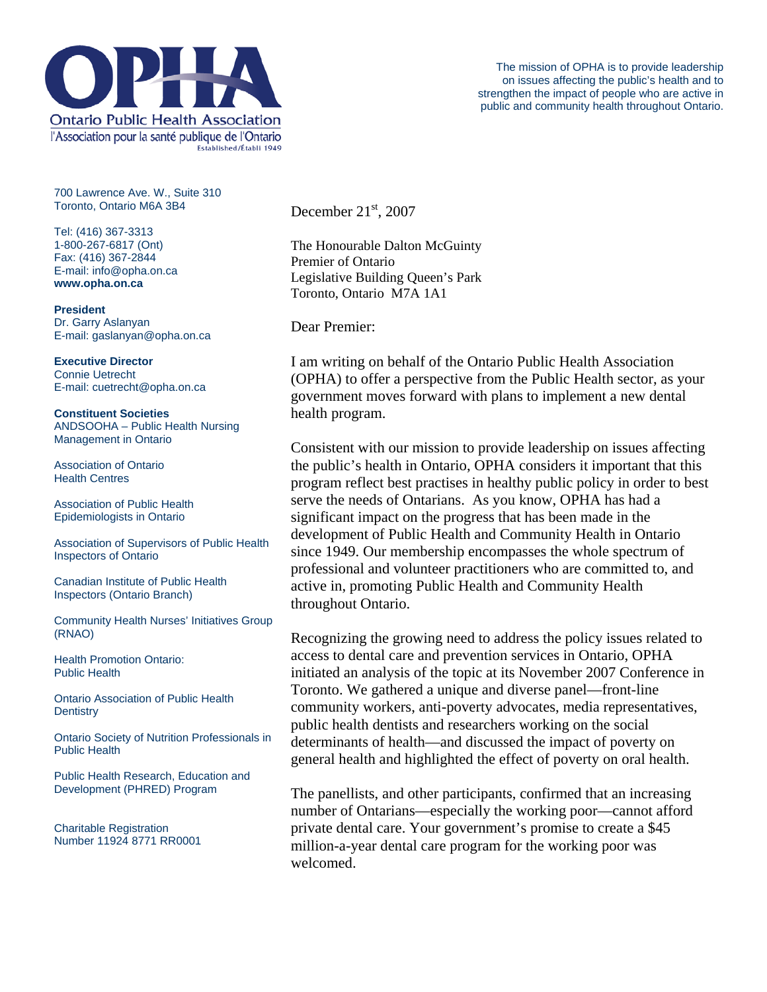

700 Lawrence Ave. W., Suite 310 Toronto, Ontario M6A 3B4

Tel: (416) 367-3313 1-800-267-6817 (Ont) Fax: (416) 367-2844 E-mail: info@opha.on.ca **www.opha.on.ca** 

**President**  Dr. Garry Aslanyan E-mail: gaslanyan@opha.on.ca

**Executive Director**  Connie Uetrecht E-mail: cuetrecht@opha.on.ca

**Constituent Societies**  ANDSOOHA – Public Health Nursing Management in Ontario

Association of Ontario Health Centres

Association of Public Health Epidemiologists in Ontario

Association of Supervisors of Public Health Inspectors of Ontario

Canadian Institute of Public Health Inspectors (Ontario Branch)

Community Health Nurses' Initiatives Group (RNAO)

Health Promotion Ontario: Public Health

Ontario Association of Public Health **Dentistry** 

Ontario Society of Nutrition Professionals in Public Health

Public Health Research, Education and Development (PHRED) Program

Charitable Registration Number 11924 8771 RR0001 December  $21<sup>st</sup>$ , 2007

The Honourable Dalton McGuinty Premier of Ontario Legislative Building Queen's Park Toronto, Ontario M7A 1A1

Dear Premier:

I am writing on behalf of the Ontario Public Health Association (OPHA) to offer a perspective from the Public Health sector, as your government moves forward with plans to implement a new dental health program.

Consistent with our mission to provide leadership on issues affecting the public's health in Ontario, OPHA considers it important that this program reflect best practises in healthy public policy in order to best serve the needs of Ontarians. As you know, OPHA has had a significant impact on the progress that has been made in the development of Public Health and Community Health in Ontario since 1949. Our membership encompasses the whole spectrum of professional and volunteer practitioners who are committed to, and active in, promoting Public Health and Community Health throughout Ontario.

Recognizing the growing need to address the policy issues related to access to dental care and prevention services in Ontario, OPHA initiated an analysis of the topic at its November 2007 Conference in Toronto. We gathered a unique and diverse panel—front-line community workers, anti-poverty advocates, media representatives, public health dentists and researchers working on the social determinants of health—and discussed the impact of poverty on general health and highlighted the effect of poverty on oral health.

The panellists, and other participants, confirmed that an increasing number of Ontarians—especially the working poor—cannot afford private dental care. Your government's promise to create a \$45 million-a-year dental care program for the working poor was welcomed.